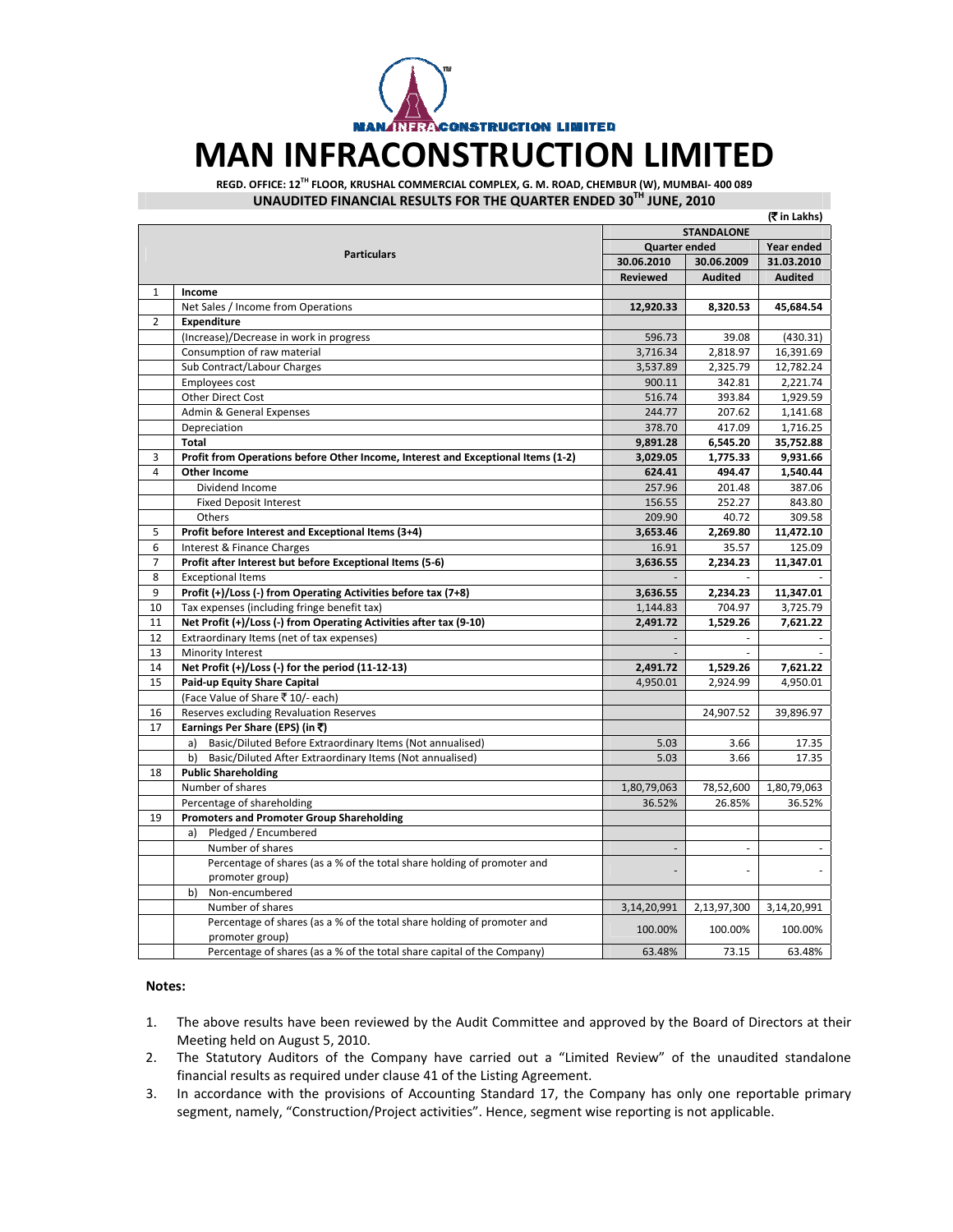

## **MAN INFRACONSTRUCTION LIMITED**

**REGD. OFFICE: 12TH FLOOR, KRUSHAL COMMERCIAL COMPLEX, G. M. ROAD, CHEMBUR (W), MUMBAI‐ 400 089 UNAUDITED FINANCIAL RESULTS FOR THE QUARTER ENDED 30TH JUNE, 2010**

|                |                                                                                            |                          |                      | (<br>Tin Lakhs) |
|----------------|--------------------------------------------------------------------------------------------|--------------------------|----------------------|-----------------|
|                |                                                                                            | <b>STANDALONE</b>        |                      |                 |
|                |                                                                                            |                          | <b>Quarter ended</b> |                 |
|                | <b>Particulars</b>                                                                         | 30.06.2010               | 30.06.2009           | 31.03.2010      |
|                |                                                                                            | <b>Reviewed</b>          | <b>Audited</b>       | <b>Audited</b>  |
| $\mathbf{1}$   | Income                                                                                     |                          |                      |                 |
|                | Net Sales / Income from Operations                                                         | 12,920.33                | 8,320.53             | 45,684.54       |
| $\overline{2}$ | Expenditure                                                                                |                          |                      |                 |
|                | (Increase)/Decrease in work in progress                                                    | 596.73                   | 39.08                | (430.31)        |
|                | Consumption of raw material                                                                | 3,716.34                 | 2,818.97             | 16,391.69       |
|                | Sub Contract/Labour Charges                                                                | 3,537.89                 | 2,325.79             | 12,782.24       |
|                | <b>Employees cost</b>                                                                      | 900.11                   | 342.81               | 2,221.74        |
|                | Other Direct Cost                                                                          | 516.74                   | 393.84               | 1,929.59        |
|                | Admin & General Expenses                                                                   | 244.77                   | 207.62               | 1,141.68        |
|                | Depreciation                                                                               | 378.70                   | 417.09               | 1,716.25        |
|                | <b>Total</b>                                                                               | 9,891.28                 | 6,545.20             | 35,752.88       |
| 3              | Profit from Operations before Other Income, Interest and Exceptional Items (1-2)           | 3,029.05                 | 1,775.33             | 9,931.66        |
| $\overline{4}$ | Other Income                                                                               | 624.41                   | 494.47               | 1,540.44        |
|                | Dividend Income                                                                            | 257.96                   | 201.48               | 387.06          |
|                | <b>Fixed Deposit Interest</b>                                                              | 156.55                   | 252.27               | 843.80          |
|                | Others                                                                                     | 209.90                   | 40.72                | 309.58          |
| 5              | Profit before Interest and Exceptional Items (3+4)                                         | 3,653.46                 | 2,269.80             | 11,472.10       |
| 6              | Interest & Finance Charges                                                                 | 16.91                    | 35.57                | 125.09          |
| $\overline{7}$ | Profit after Interest but before Exceptional Items (5-6)                                   | 3,636.55                 | 2,234.23             | 11,347.01       |
| 8              | <b>Exceptional Items</b>                                                                   |                          |                      |                 |
| 9              | Profit (+)/Loss (-) from Operating Activities before tax (7+8)                             | 3,636.55                 | 2,234.23             | 11,347.01       |
| 10             | Tax expenses (including fringe benefit tax)                                                | 1,144.83                 | 704.97               | 3,725.79        |
| 11             | Net Profit (+)/Loss (-) from Operating Activities after tax (9-10)                         | 2,491.72                 | 1,529.26             | 7,621.22        |
| 12             | Extraordinary Items (net of tax expenses)                                                  |                          |                      |                 |
| 13             | Minority Interest                                                                          |                          |                      |                 |
| 14             | Net Profit (+)/Loss (-) for the period (11-12-13)                                          | 2,491.72                 | 1,529.26             | 7,621.22        |
| 15             | Paid-up Equity Share Capital                                                               | 4,950.01                 | 2,924.99             | 4,950.01        |
|                | (Face Value of Share ₹ 10/- each)                                                          |                          |                      |                 |
| 16             | Reserves excluding Revaluation Reserves                                                    |                          | 24,907.52            | 39,896.97       |
| 17             | Earnings Per Share (EPS) (in ₹)                                                            |                          |                      |                 |
|                | Basic/Diluted Before Extraordinary Items (Not annualised)<br>a)                            | 5.03                     | 3.66                 | 17.35           |
|                | b)<br>Basic/Diluted After Extraordinary Items (Not annualised)                             | 5.03                     | 3.66                 | 17.35           |
| 18             | <b>Public Shareholding</b>                                                                 |                          |                      |                 |
|                | Number of shares                                                                           | 1,80,79,063              | 78,52,600            | 1,80,79,063     |
|                | Percentage of shareholding                                                                 | 36.52%                   | 26.85%               | 36.52%          |
| 19             | <b>Promoters and Promoter Group Shareholding</b>                                           |                          |                      |                 |
|                | Pledged / Encumbered<br>a)                                                                 |                          |                      |                 |
|                | Number of shares                                                                           | $\overline{\phantom{a}}$ | ÷,                   |                 |
|                | Percentage of shares (as a % of the total share holding of promoter and                    |                          |                      |                 |
|                | promoter group)                                                                            |                          |                      |                 |
|                | b) Non-encumbered                                                                          |                          |                      |                 |
|                | Number of shares                                                                           | 3,14,20,991              | 2,13,97,300          | 3,14,20,991     |
|                | Percentage of shares (as a % of the total share holding of promoter and<br>promoter group) | 100.00%                  | 100.00%              | 100.00%         |
|                | Percentage of shares (as a % of the total share capital of the Company)                    | 63.48%                   | 73.15                | 63.48%          |
|                |                                                                                            |                          |                      |                 |

## **Notes:**

- 1. The above results have been reviewed by the Audit Committee and approved by the Board of Directors at their Meeting held on August 5, 2010.
- 2. The Statutory Auditors of the Company have carried out a "Limited Review" of the unaudited standalone financial results as required under clause 41 of the Listing Agreement.
- 3. In accordance with the provisions of Accounting Standard 17, the Company has only one reportable primary segment, namely, "Construction/Project activities". Hence, segment wise reporting is not applicable.